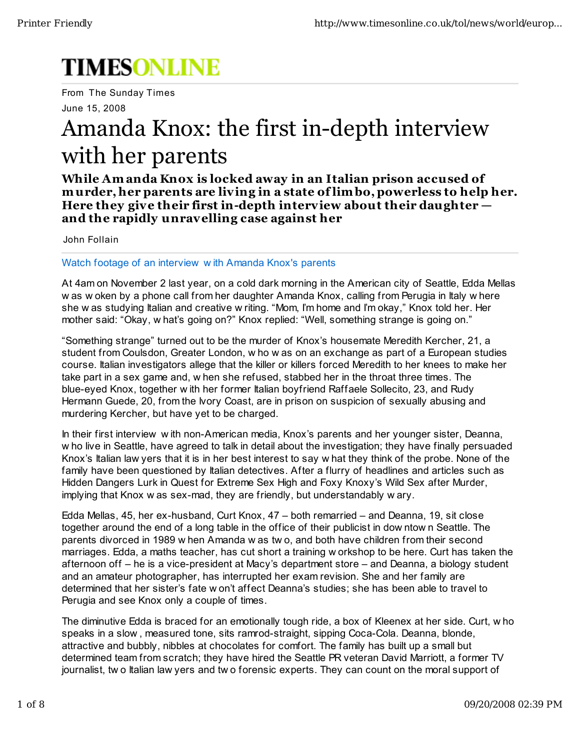# **TIMESONLINE**

From The Sunday Times June 15, 2008

## Amanda Knox: the first in-depth interview with her parents

While Amanda Knox is locked away in an Italian prison accused of murder, her parents are living in a state of limbo, powerless to help her. Here they give their first in-depth interview about their daughter and the rapidly unravelling case against her

John Follain

#### Watch footage of an interview with Amanda Knox's parents

At 4am on November 2 last year, on a cold dark morning in the American city of Seattle, Edda Mellas w as w oken by a phone call from her daughter Amanda Knox, calling from Perugia in Italy w here she w as studying Italian and creative w riting. "Mom, I'm home and I'm okay," Knox told her. Her mother said: "Okay, w hat's going on?" Knox replied: "Well, something strange is going on."

"Something strange" turned out to be the murder of Knox's housemate Meredith Kercher, 21, a student from Coulsdon, Greater London, w ho w as on an exchange as part of a European studies course. Italian investigators allege that the killer or killers forced Meredith to her knees to make her take part in a sex game and, w hen she refused, stabbed her in the throat three times. The blue-eyed Knox, together with her former Italian boyfriend Raffaele Sollecito, 23, and Rudy Hermann Guede, 20, from the Ivory Coast, are in prison on suspicion of sexually abusing and murdering Kercher, but have yet to be charged.

In their first interview with non-American media, Knox's parents and her younger sister, Deanna, w ho live in Seattle, have agreed to talk in detail about the investigation; they have finally persuaded Knox's Italian law yers that it is in her best interest to say w hat they think of the probe. None of the family have been questioned by Italian detectives. After a flurry of headlines and articles such as Hidden Dangers Lurk in Quest for Extreme Sex High and Foxy Knoxy's Wild Sex after Murder, implying that Knox w as sex-mad, they are friendly, but understandably w ary.

Edda Mellas, 45, her ex-husband, Curt Knox, 47 - both remarried - and Deanna, 19, sit close together around the end of a long table in the office of their publicist in dow ntow n Seattle. The parents divorced in 1989 w hen Amanda w as two, and both have children from their second marriages. Edda, a maths teacher, has cut short a training w orkshop to be here. Curt has taken the afternoon off – he is a vice-president at Macy's department store – and Deanna, a biology student and an amateur photographer, has interrupted her exam revision. She and her family are determined that her sister's fate w on't affect Deanna's studies; she has been able to travel to Perugia and see Knox only a couple of times.

The diminutive Edda is braced for an emotionally tough ride, a box of Kleenex at her side. Curt, w ho speaks in a slow, measured tone, sits ramrod-straight, sipping Coca-Cola. Deanna, blonde, attractive and bubbly, nibbles at chocolates for comfort. The family has built up a small but determined team from scratch; they have hired the Seattle PR veteran David Marriott, a former TV journalist, two Italian law yers and two forensic experts. They can count on the moral support of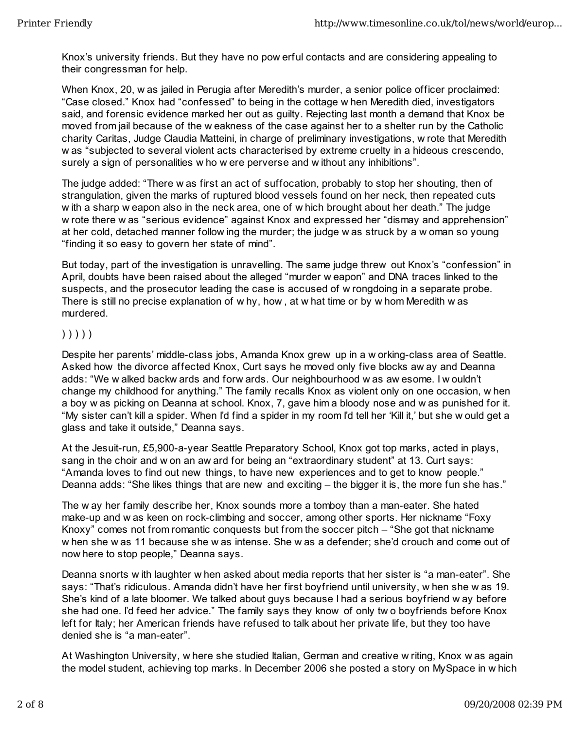Knox's university friends. But they have no pow erful contacts and are considering appealing to their congressman for help.

When Knox, 20, w as jailed in Perugia after Meredith's murder, a senior police officer proclaimed: "Case closed." Knox had "confessed" to being in the cottage w hen Meredith died, investigators said, and forensic evidence marked her out as guilty. Rejecting last month a demand that Knox be moved from jail because of the w eakness of the case against her to a shelter run by the Catholic charity Caritas, Judge Claudia Matteini, in charge of preliminary investigations, w rote that Meredith w as "subjected to several violent acts characterised by extreme cruelty in a hideous crescendo, surely a sign of personalities w ho w ere perverse and w ithout any inhibitions".

The judge added: "There w as first an act of suffocation, probably to stop her shouting, then of strangulation, given the marks of ruptured blood vessels found on her neck, then repeated cuts w ith a sharp w eapon also in the neck area, one of w hich brought about her death." The judge w rote there w as "serious evidence" against Knox and expressed her "dismay and apprehension" at her cold, detached manner follow ing the murder; the judge w as struck by a w oman so young "finding it so easy to govern her state of mind".

But today, part of the investigation is unravelling. The same judge threw out Knox's "confession" in April, doubts have been raised about the alleged "murder w eapon" and DNA traces linked to the suspects, and the prosecutor leading the case is accused of w rongdoing in a separate probe. There is still no precise explanation of w hy, how , at w hat time or by w hom Meredith w as murdered.

#### ) ) ) ) )

Despite her parents' middle-class jobs, Amanda Knox grew up in a w orking-class area of Seattle. Asked how the divorce affected Knox, Curt says he moved only five blocks aw ay and Deanna adds: "We w alked backw ards and forw ards. Our neighbourhood w as aw esome. I w ouldn't change my childhood for anything." The family recalls Knox as violent only on one occasion, w hen a boy w as picking on Deanna at school. Knox, 7, gave him a bloody nose and w as punished for it. "My sister can't kill a spider. When I'd find a spider in my room I'd tell her 'Kill it,' but she w ould get a glass and take it outside," Deanna says.

At the Jesuit-run, £5,900-a-year Seattle Preparatory School, Knox got top marks, acted in plays, sang in the choir and w on an aw ard for being an "extraordinary student" at 13. Curt says: "Amanda loves to find out new things, to have new experiences and to get to know people." Deanna adds: "She likes things that are new and exciting – the bigger it is, the more fun she has."

The w ay her family describe her, Knox sounds more a tomboy than a man-eater. She hated make-up and w as keen on rock-climbing and soccer, among other sports. Her nickname "Foxy Knoxy" comes not from romantic conquests but from the soccer pitch – "She got that nickname w hen she w as 11 because she w as intense. She w as a defender; she'd crouch and come out of now here to stop people," Deanna says.

Deanna snorts w ith laughter w hen asked about media reports that her sister is "a man-eater". She says: "That's ridiculous. Amanda didn't have her first boyfriend until university, w hen she w as 19. She's kind of a late bloomer. We talked about guys because I had a serious boyfriend w ay before she had one. I'd feed her advice." The family says they know of only tw o boyfriends before Knox left for Italy; her American friends have refused to talk about her private life, but they too have denied she is "a man-eater".

At Washington University, w here she studied Italian, German and creative w riting, Knox w as again the model student, achieving top marks. In December 2006 she posted a story on MySpace in w hich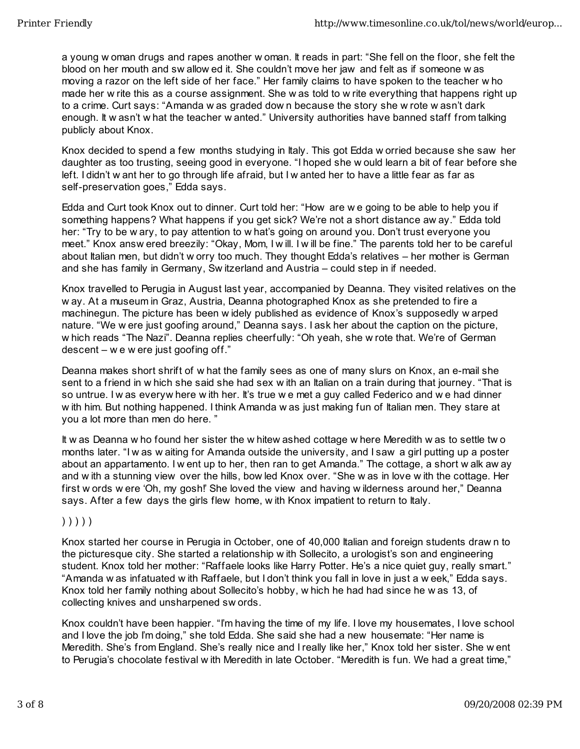a young w oman drugs and rapes another w oman. It reads in part: "She fell on the floor, she felt the blood on her mouth and sw allow ed it. She couldn't move her jaw and felt as if someone w as moving a razor on the left side of her face." Her family claims to have spoken to the teacher w ho made her w rite this as a course assignment. She w as told to w rite everything that happens right up to a crime. Curt says: "Amanda w as graded dow n because the story she w rote w asn't dark enough. It w asn't w hat the teacher w anted." University authorities have banned staff from talking publicly about Knox.

Knox decided to spend a few months studying in Italy. This got Edda w orried because she saw her daughter as too trusting, seeing good in everyone. "I hoped she w ould learn a bit of fear before she left. I didn't w ant her to go through life afraid, but I w anted her to have a little fear as far as self-preservation goes," Edda says.

Edda and Curt took Knox out to dinner. Curt told her: "How are w e going to be able to help you if something happens? What happens if you get sick? We're not a short distance aw ay." Edda told her: "Try to be w ary, to pay attention to w hat's going on around you. Don't trust everyone you meet." Knox answ ered breezily: "Okay, Mom, I w ill. I w ill be fine." The parents told her to be careful about Italian men, but didn't w orry too much. They thought Edda's relatives – her mother is German and she has family in Germany, Sw itzerland and Austria – could step in if needed.

Knox travelled to Perugia in August last year, accompanied by Deanna. They visited relatives on the w ay. At a museum in Graz, Austria, Deanna photographed Knox as she pretended to fire a machinegun. The picture has been w idely published as evidence of Knox's supposedly w arped nature. "We w ere just goofing around," Deanna says. I ask her about the caption on the picture, w hich reads "The Nazi". Deanna replies cheerfully: "Oh yeah, she w rote that. We're of German descent – w e w ere just goofing off."

Deanna makes short shrift of w hat the family sees as one of many slurs on Knox, an e-mail she sent to a friend in w hich she said she had sex w ith an Italian on a train during that journey. "That is so untrue. I w as everyw here w ith her. It's true w e met a guy called Federico and w e had dinner w ith him. But nothing happened. I think Amanda w as just making fun of Italian men. They stare at you a lot more than men do here. "

It w as Deanna w ho found her sister the w hitew ashed cottage w here Meredith w as to settle tw o months later. "I w as w aiting for Amanda outside the university, and I saw a girl putting up a poster about an appartamento. I w ent up to her, then ran to get Amanda." The cottage, a short w alk aw ay and w ith a stunning view over the hills, bow led Knox over. "She w as in love w ith the cottage. Her first w ords w ere 'Oh, my gosh!' She loved the view and having w ilderness around her," Deanna says. After a few days the girls flew home, w ith Knox impatient to return to Italy.

### ) ) ) ) )

Knox started her course in Perugia in October, one of 40,000 Italian and foreign students draw n to the picturesque city. She started a relationship w ith Sollecito, a urologist's son and engineering student. Knox told her mother: "Raffaele looks like Harry Potter. He's a nice quiet guy, really smart." "Amanda w as infatuated w ith Raffaele, but I don't think you fall in love in just a w eek," Edda says. Knox told her family nothing about Sollecito's hobby, w hich he had had since he w as 13, of collecting knives and unsharpened sw ords.

Knox couldn't have been happier. "I'm having the time of my life. I love my housemates, I love school and I love the job I'm doing," she told Edda. She said she had a new housemate: "Her name is Meredith. She's from England. She's really nice and I really like her," Knox told her sister. She w ent to Perugia's chocolate festival w ith Meredith in late October. "Meredith is fun. We had a great time,"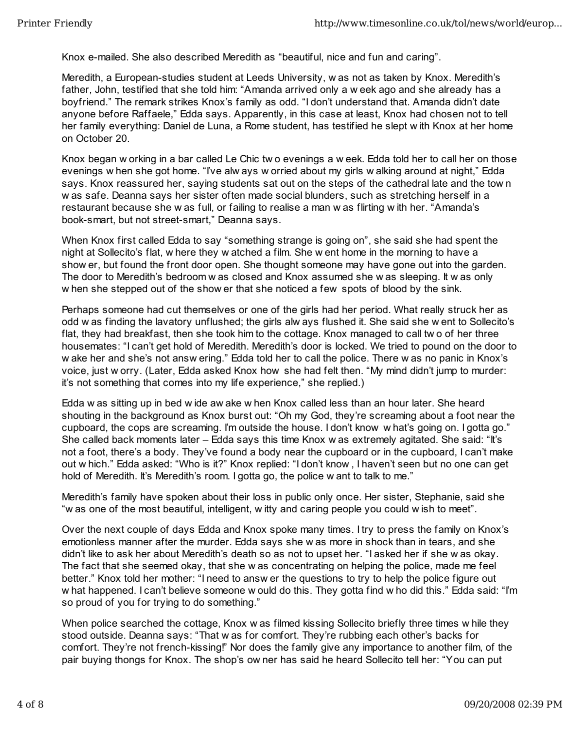Knox e-mailed. She also described Meredith as "beautiful, nice and fun and caring".

Meredith, a European-studies student at Leeds University, w as not as taken by Knox. Meredith's father, John, testified that she told him: "Amanda arrived only a w eek ago and she already has a boyfriend." The remark strikes Knox's family as odd. "I don't understand that. Amanda didn't date anyone before Raffaele," Edda says. Apparently, in this case at least, Knox had chosen not to tell her family everything: Daniel de Luna, a Rome student, has testified he slept w ith Knox at her home on October 20.

Knox began w orking in a bar called Le Chic tw o evenings a w eek. Edda told her to call her on those evenings w hen she got home. "I've alw ays w orried about my girls w alking around at night," Edda says. Knox reassured her, saying students sat out on the steps of the cathedral late and the tow n w as safe. Deanna says her sister often made social blunders, such as stretching herself in a restaurant because she w as full, or failing to realise a man w as flirting w ith her. "Amanda's book-smart, but not street-smart," Deanna says.

When Knox first called Edda to say "something strange is going on", she said she had spent the night at Sollecito's flat, w here they w atched a film. She w ent home in the morning to have a show er, but found the front door open. She thought someone may have gone out into the garden. The door to Meredith's bedroom w as closed and Knox assumed she w as sleeping. It w as only w hen she stepped out of the show er that she noticed a few spots of blood by the sink.

Perhaps someone had cut themselves or one of the girls had her period. What really struck her as odd w as finding the lavatory unflushed; the girls alw ays flushed it. She said she w ent to Sollecito's flat, they had breakfast, then she took him to the cottage. Knox managed to call tw o of her three housemates: "I can't get hold of Meredith. Meredith's door is locked. We tried to pound on the door to w ake her and she's not answ ering." Edda told her to call the police. There w as no panic in Knox's voice, just w orry. (Later, Edda asked Knox how she had felt then. "My mind didn't jump to murder: it's not something that comes into my life experience," she replied.)

Edda w as sitting up in bed w ide aw ake w hen Knox called less than an hour later. She heard shouting in the background as Knox burst out: "Oh my God, they're screaming about a foot near the cupboard, the cops are screaming. I'm outside the house. I don't know w hat's going on. I gotta go." She called back moments later – Edda says this time Knox w as extremely agitated. She said: "It's not a foot, there's a body. They've found a body near the cupboard or in the cupboard, I can't make out w hich." Edda asked: "Who is it?" Knox replied: "I don't know , I haven't seen but no one can get hold of Meredith. It's Meredith's room. I gotta go, the police w ant to talk to me."

Meredith's family have spoken about their loss in public only once. Her sister, Stephanie, said she "w as one of the most beautiful, intelligent, w itty and caring people you could w ish to meet".

Over the next couple of days Edda and Knox spoke many times. I try to press the family on Knox's emotionless manner after the murder. Edda says she w as more in shock than in tears, and she didn't like to ask her about Meredith's death so as not to upset her. "I asked her if she w as okay. The fact that she seemed okay, that she w as concentrating on helping the police, made me feel better." Knox told her mother: "I need to answ er the questions to try to help the police figure out w hat happened. I can't believe someone w ould do this. They gotta find w ho did this." Edda said: "I'm so proud of you for trying to do something."

When police searched the cottage, Knox w as filmed kissing Sollecito briefly three times w hile they stood outside. Deanna says: "That w as for comfort. They're rubbing each other's backs for comfort. They're not french-kissing!" Nor does the family give any importance to another film, of the pair buying thongs for Knox. The shop's ow ner has said he heard Sollecito tell her: "You can put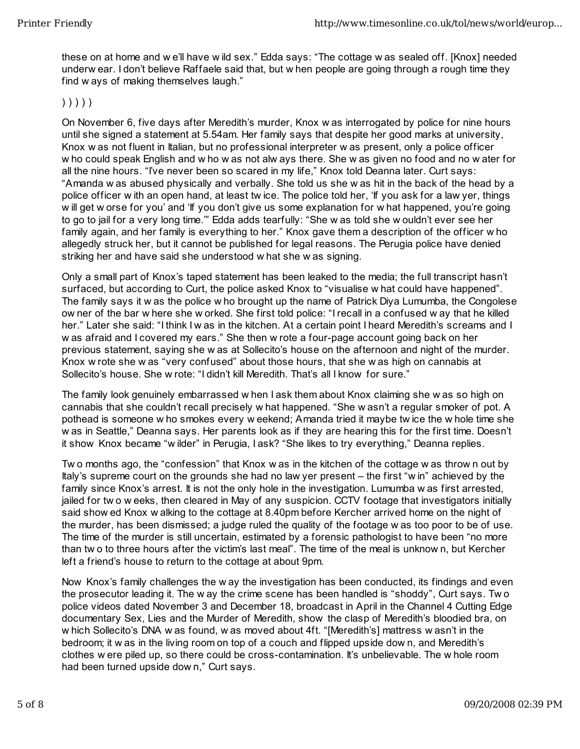these on at home and w e'll have w ild sex." Edda says: "The cottage w as sealed off. [Knox] needed underw ear. I don't believe Raffaele said that, but w hen people are going through a rough time they find w ays of making themselves laugh."

#### ) ) ) ) )

On November 6, five days after Meredith's murder, Knox w as interrogated by police for nine hours until she signed a statement at 5.54am. Her family says that despite her good marks at university, Knox w as not fluent in Italian, but no professional interpreter w as present, only a police officer w ho could speak English and w ho w as not alw ays there. She w as given no food and no w ater for all the nine hours. "I've never been so scared in my life," Knox told Deanna later. Curt says: "Amanda w as abused physically and verbally. She told us she w as hit in the back of the head by a police officer w ith an open hand, at least tw ice. The police told her, 'If you ask for a law yer, things w ill get w orse for you' and 'If you don't give us some explanation for w hat happened, you're going to go to jail for a very long time.'" Edda adds tearfully: "She w as told she w ouldn't ever see her family again, and her family is everything to her." Knox gave them a description of the officer w ho allegedly struck her, but it cannot be published for legal reasons. The Perugia police have denied striking her and have said she understood w hat she w as signing.

Only a small part of Knox's taped statement has been leaked to the media; the full transcript hasn't surfaced, but according to Curt, the police asked Knox to "visualise w hat could have happened". The family says it w as the police w ho brought up the name of Patrick Diya Lumumba, the Congolese ow ner of the bar w here she w orked. She first told police: "I recall in a confused w ay that he killed her." Later she said: "I think I w as in the kitchen. At a certain point I heard Meredith's screams and I w as afraid and I covered my ears." She then w rote a four-page account going back on her previous statement, saying she w as at Sollecito's house on the afternoon and night of the murder. Knox w rote she w as "very confused" about those hours, that she w as high on cannabis at Sollecito's house. She w rote: "I didn't kill Meredith. That's all I know for sure."

The family look genuinely embarrassed w hen I ask them about Knox claiming she w as so high on cannabis that she couldn't recall precisely w hat happened. "She w asn't a regular smoker of pot. A pothead is someone w ho smokes every w eekend; Amanda tried it maybe tw ice the w hole time she w as in Seattle," Deanna says. Her parents look as if they are hearing this for the first time. Doesn't it show Knox became "w ilder" in Perugia, I ask? "She likes to try everything," Deanna replies.

Tw o months ago, the "confession" that Knox w as in the kitchen of the cottage w as throw n out by Italy's supreme court on the grounds she had no law yer present – the first "w in" achieved by the family since Knox's arrest. It is not the only hole in the investigation. Lumumba w as first arrested, jailed for tw o w eeks, then cleared in May of any suspicion. CCTV footage that investigators initially said show ed Knox w alking to the cottage at 8.40pm before Kercher arrived home on the night of the murder, has been dismissed; a judge ruled the quality of the footage w as too poor to be of use. The time of the murder is still uncertain, estimated by a forensic pathologist to have been "no more than tw o to three hours after the victim's last meal". The time of the meal is unknow n, but Kercher left a friend's house to return to the cottage at about 9pm.

Now Knox's family challenges the w ay the investigation has been conducted, its findings and even the prosecutor leading it. The w ay the crime scene has been handled is "shoddy", Curt says. Tw o police videos dated November 3 and December 18, broadcast in April in the Channel 4 Cutting Edge documentary Sex, Lies and the Murder of Meredith, show the clasp of Meredith's bloodied bra, on w hich Sollecito's DNA w as found, w as moved about 4ft. "[Meredith's] mattress w asn't in the bedroom; it w as in the living room on top of a couch and flipped upside dow n, and Meredith's clothes w ere piled up, so there could be cross-contamination. It's unbelievable. The w hole room had been turned upside dow n," Curt says.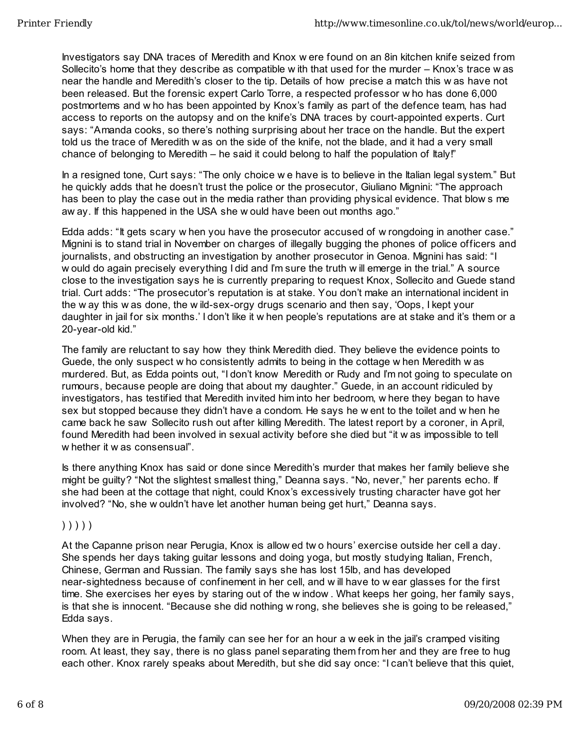Investigators say DNA traces of Meredith and Knox w ere found on an 8in kitchen knife seized from Sollecito's home that they describe as compatible w ith that used for the murder – Knox's trace w as near the handle and Meredith's closer to the tip. Details of how precise a match this w as have not been released. But the forensic expert Carlo Torre, a respected professor w ho has done 6,000 postmortems and w ho has been appointed by Knox's family as part of the defence team, has had access to reports on the autopsy and on the knife's DNA traces by court-appointed experts. Curt says: "Amanda cooks, so there's nothing surprising about her trace on the handle. But the expert told us the trace of Meredith w as on the side of the knife, not the blade, and it had a very small chance of belonging to Meredith  $-$  he said it could belong to half the population of Italy!"

In a resigned tone, Curt says: "The only choice w e have is to believe in the Italian legal system." But he quickly adds that he doesn't trust the police or the prosecutor, Giuliano Mignini: "The approach has been to play the case out in the media rather than providing physical evidence. That blow s me aw ay. If this happened in the USA she w ould have been out months ago."

Edda adds: "It gets scary w hen you have the prosecutor accused of w rongdoing in another case." Mignini is to stand trial in November on charges of illegally bugging the phones of police officers and journalists, and obstructing an investigation by another prosecutor in Genoa. Mignini has said: "I w ould do again precisely everything I did and I'm sure the truth w ill emerge in the trial." A source close to the investigation says he is currently preparing to request Knox, Sollecito and Guede stand trial. Curt adds: "The prosecutor's reputation is at stake. You don't make an international incident in the w ay this w as done, the w ild-sex-orgy drugs scenario and then say, 'Oops, I kept your daughter in jail for six months.' I don't like it w hen people's reputations are at stake and it's them or a 20-year-old kid."

The family are reluctant to say how they think Meredith died. They believe the evidence points to Guede, the only suspect w ho consistently admits to being in the cottage w hen Meredith w as murdered. But, as Edda points out, "I don't know Meredith or Rudy and I'm not going to speculate on rumours, because people are doing that about my daughter." Guede, in an account ridiculed by investigators, has testified that Meredith invited him into her bedroom, w here they began to have sex but stopped because they didn't have a condom. He says he w ent to the toilet and w hen he came back he saw Sollecito rush out after killing Meredith. The latest report by a coroner, in April, found Meredith had been involved in sexual activity before she died but "it w as impossible to tell w hether it w as consensual".

Is there anything Knox has said or done since Meredith's murder that makes her family believe she might be guilty? "Not the slightest smallest thing," Deanna says. "No, never," her parents echo. If she had been at the cottage that night, could Knox's excessively trusting character have got her involved? "No, she w ouldn't have let another human being get hurt," Deanna says.

### ) ) ) ) )

At the Capanne prison near Perugia, Knox is allow ed tw o hours' exercise outside her cell a day. She spends her days taking guitar lessons and doing yoga, but mostly studying Italian, French, Chinese, German and Russian. The family says she has lost 15lb, and has developed near-sightedness because of confinement in her cell, and w ill have to w ear glasses for the first time. She exercises her eyes by staring out of the w indow . What keeps her going, her family says, is that she is innocent. "Because she did nothing w rong, she believes she is going to be released," Edda says.

When they are in Perugia, the family can see her for an hour a w eek in the jail's cramped visiting room. At least, they say, there is no glass panel separating them from her and they are free to hug each other. Knox rarely speaks about Meredith, but she did say once: "I can't believe that this quiet,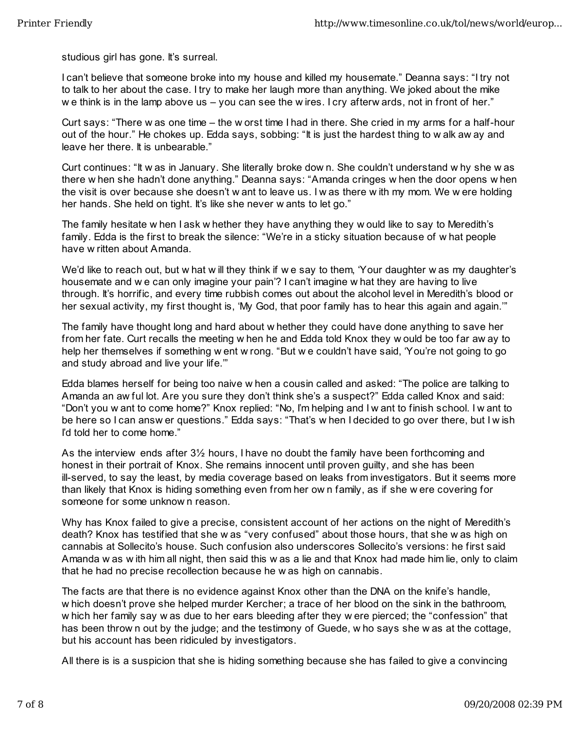studious girl has gone. It's surreal.

I can't believe that someone broke into my house and killed my housemate." Deanna says: "I try not to talk to her about the case. I try to make her laugh more than anything. We joked about the mike we think is in the lamp above us  $-$  you can see the w ires. I cry afterw ards, not in front of her."

Curt says: "There w as one time – the w orst time I had in there. She cried in my arms for a half-hour out of the hour." He chokes up. Edda says, sobbing: "It is just the hardest thing to w alk aw ay and leave her there. It is unbearable."

Curt continues: "It w as in January. She literally broke dow n. She couldn't understand w hy she w as there w hen she hadn't done anything." Deanna says: "Amanda cringes w hen the door opens w hen the visit is over because she doesn't w ant to leave us. I w as there w ith my mom. We w ere holding her hands. She held on tight. It's like she never w ants to let go."

The family hesitate w hen I ask w hether they have anything they w ould like to say to Meredith's family. Edda is the first to break the silence: "We're in a sticky situation because of w hat people have w ritten about Amanda.

We'd like to reach out, but w hat w ill they think if w e say to them, 'Your daughter w as my daughter's housemate and w e can only imagine your pain'? I can't imagine w hat they are having to live through. It's horrific, and every time rubbish comes out about the alcohol level in Meredith's blood or her sexual activity, my first thought is, 'My God, that poor family has to hear this again and again.'"

The family have thought long and hard about w hether they could have done anything to save her from her fate. Curt recalls the meeting w hen he and Edda told Knox they w ould be too far aw ay to help her themselves if something w ent w rong. "But w e couldn't have said, 'You're not going to go and study abroad and live your life.'"

Edda blames herself for being too naive w hen a cousin called and asked: "The police are talking to Amanda an aw ful lot. Are you sure they don't think she's a suspect?" Edda called Knox and said: "Don't you w ant to come home?" Knox replied: "No, I'm helping and I w ant to finish school. I w ant to be here so I can answ er questions." Edda says: "That's w hen I decided to go over there, but I w ish I'd told her to come home."

As the interview ends after 3½ hours, I have no doubt the family have been forthcoming and honest in their portrait of Knox. She remains innocent until proven guilty, and she has been ill-served, to say the least, by media coverage based on leaks from investigators. But it seems more than likely that Knox is hiding something even from her ow n family, as if she w ere covering for someone for some unknow n reason.

Why has Knox failed to give a precise, consistent account of her actions on the night of Meredith's death? Knox has testified that she w as "very confused" about those hours, that she w as high on cannabis at Sollecito's house. Such confusion also underscores Sollecito's versions: he first said Amanda w as w ith him all night, then said this w as a lie and that Knox had made him lie, only to claim that he had no precise recollection because he w as high on cannabis.

The facts are that there is no evidence against Knox other than the DNA on the knife's handle, w hich doesn't prove she helped murder Kercher; a trace of her blood on the sink in the bathroom, w hich her family say w as due to her ears bleeding after they w ere pierced; the "confession" that has been throw n out by the judge; and the testimony of Guede, w ho says she w as at the cottage, but his account has been ridiculed by investigators.

All there is is a suspicion that she is hiding something because she has failed to give a convincing